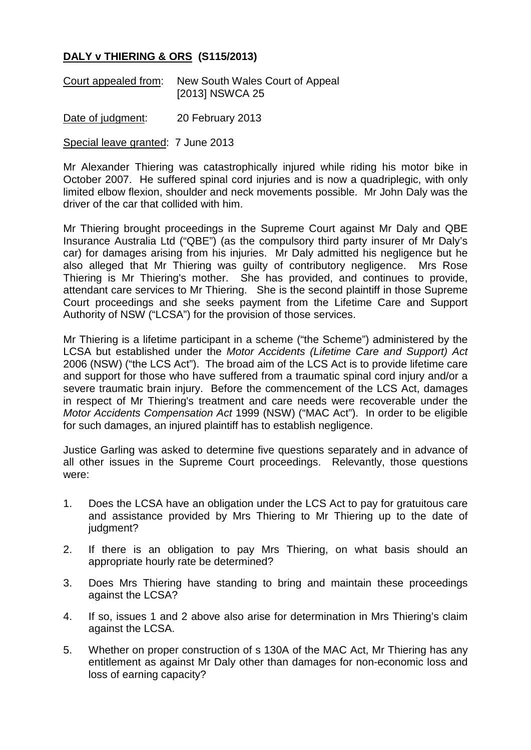## **DALY v THIERING & ORS (S115/2013)**

Court appealed from: New South Wales Court of Appeal [2013] NSWCA 25

Date of judgment: 20 February 2013

Special leave granted: 7 June 2013

Mr Alexander Thiering was catastrophically injured while riding his motor bike in October 2007. He suffered spinal cord injuries and is now a quadriplegic, with only limited elbow flexion, shoulder and neck movements possible. Mr John Daly was the driver of the car that collided with him.

Mr Thiering brought proceedings in the Supreme Court against Mr Daly and QBE Insurance Australia Ltd ("QBE") (as the compulsory third party insurer of Mr Daly's car) for damages arising from his injuries. Mr Daly admitted his negligence but he also alleged that Mr Thiering was guilty of contributory negligence. Mrs Rose Thiering is Mr Thiering's mother. She has provided, and continues to provide, attendant care services to Mr Thiering. She is the second plaintiff in those Supreme Court proceedings and she seeks payment from the Lifetime Care and Support Authority of NSW ("LCSA") for the provision of those services.

Mr Thiering is a lifetime participant in a scheme ("the Scheme") administered by the LCSA but established under the *Motor Accidents (Lifetime Care and Support) Act* 2006 (NSW) ("the LCS Act"). The broad aim of the LCS Act is to provide lifetime care and support for those who have suffered from a traumatic spinal cord injury and/or a severe traumatic brain injury. Before the commencement of the LCS Act, damages in respect of Mr Thiering's treatment and care needs were recoverable under the *Motor Accidents Compensation Act* 1999 (NSW) ("MAC Act"). In order to be eligible for such damages, an injured plaintiff has to establish negligence.

Justice Garling was asked to determine five questions separately and in advance of all other issues in the Supreme Court proceedings. Relevantly, those questions were:

- 1. Does the LCSA have an obligation under the LCS Act to pay for gratuitous care and assistance provided by Mrs Thiering to Mr Thiering up to the date of judgment?
- 2. If there is an obligation to pay Mrs Thiering, on what basis should an appropriate hourly rate be determined?
- 3. Does Mrs Thiering have standing to bring and maintain these proceedings against the LCSA?
- 4. If so, issues 1 and 2 above also arise for determination in Mrs Thiering's claim against the LCSA.
- 5. Whether on proper construction of s 130A of the MAC Act, Mr Thiering has any entitlement as against Mr Daly other than damages for non-economic loss and loss of earning capacity?